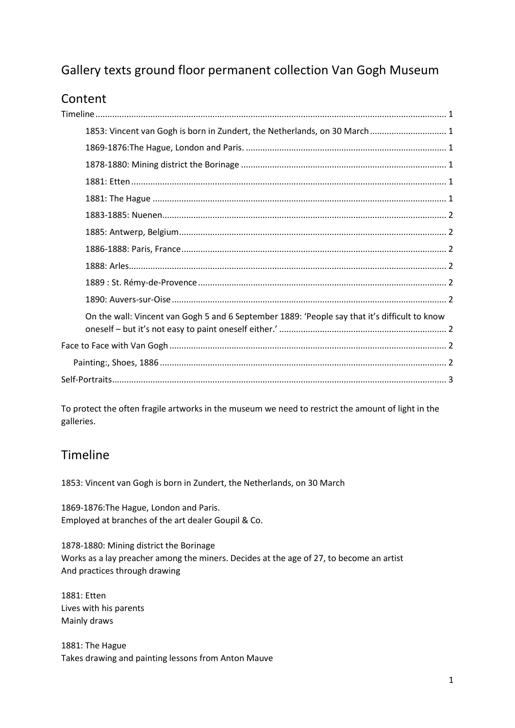# Gallery texts ground floor permanent collection Van Gogh Museum

# Content

|  | 1853: Vincent van Gogh is born in Zundert, the Netherlands, on 30 March 1                     |  |
|--|-----------------------------------------------------------------------------------------------|--|
|  |                                                                                               |  |
|  |                                                                                               |  |
|  |                                                                                               |  |
|  |                                                                                               |  |
|  |                                                                                               |  |
|  |                                                                                               |  |
|  |                                                                                               |  |
|  |                                                                                               |  |
|  |                                                                                               |  |
|  |                                                                                               |  |
|  | On the wall: Vincent van Gogh 5 and 6 September 1889: 'People say that it's difficult to know |  |
|  |                                                                                               |  |
|  |                                                                                               |  |
|  |                                                                                               |  |
|  |                                                                                               |  |

To protect the often fragile artworks in the museum we need to restrict the amount of light in the galleries.

#### <span id="page-0-0"></span>Timeline

<span id="page-0-1"></span>1853: Vincent van Gogh is born in Zundert, the Netherlands, on 30 March

<span id="page-0-2"></span>1869-1876:The Hague, London and Paris. Employed at branches of the art dealer Goupil & Co.

<span id="page-0-3"></span>1878-1880: Mining district the Borinage Works as a lay preacher among the miners. Decides at the age of 27, to become an artist And practices through drawing

<span id="page-0-4"></span>1881: Etten Lives with his parents Mainly draws

<span id="page-0-5"></span>1881: The Hague Takes drawing and painting lessons from Anton Mauve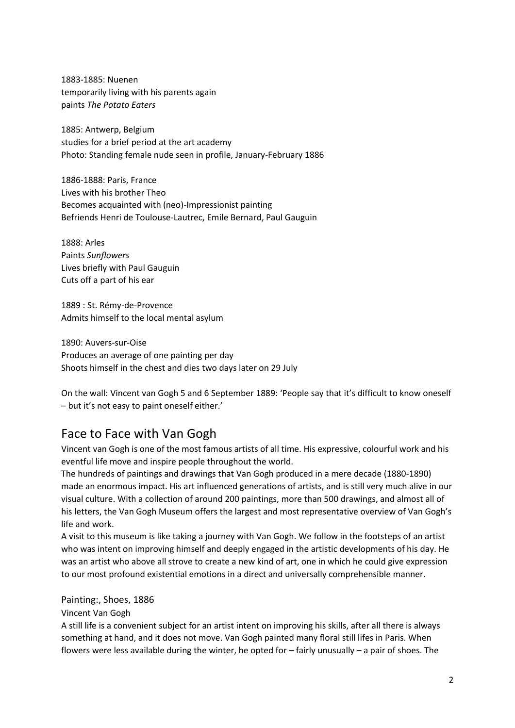<span id="page-1-0"></span>1883-1885: Nuenen temporarily living with his parents again paints *The Potato Eaters*

<span id="page-1-1"></span>1885: Antwerp, Belgium studies for a brief period at the art academy Photo: Standing female nude seen in profile, January-February 1886

<span id="page-1-2"></span>1886-1888: Paris, France Lives with his brother Theo Becomes acquainted with (neo)-Impressionist painting Befriends Henri de Toulouse-Lautrec, Emile Bernard, Paul Gauguin

<span id="page-1-3"></span>1888: Arles Paints *Sunflowers* Lives briefly with Paul Gauguin Cuts off a part of his ear

<span id="page-1-4"></span>1889 : St. Rémy-de-Provence Admits himself to the local mental asylum

<span id="page-1-5"></span>1890: Auvers-sur-Oise Produces an average of one painting per day Shoots himself in the chest and dies two days later on 29 July

<span id="page-1-6"></span>On the wall: Vincent van Gogh 5 and 6 September 1889: 'People say that it's difficult to know oneself – but it's not easy to paint oneself either.'

#### <span id="page-1-7"></span>Face to Face with Van Gogh

Vincent van Gogh is one of the most famous artists of all time. His expressive, colourful work and his eventful life move and inspire people throughout the world.

The hundreds of paintings and drawings that Van Gogh produced in a mere decade (1880-1890) made an enormous impact. His art influenced generations of artists, and is still very much alive in our visual culture. With a collection of around 200 paintings, more than 500 drawings, and almost all of his letters, the Van Gogh Museum offers the largest and most representative overview of Van Gogh's life and work.

A visit to this museum is like taking a journey with Van Gogh. We follow in the footsteps of an artist who was intent on improving himself and deeply engaged in the artistic developments of his day. He was an artist who above all strove to create a new kind of art, one in which he could give expression to our most profound existential emotions in a direct and universally comprehensible manner.

<span id="page-1-8"></span>Painting:, Shoes, 1886

Vincent Van Gogh

A still life is a convenient subject for an artist intent on improving his skills, after all there is always something at hand, and it does not move. Van Gogh painted many floral still lifes in Paris. When flowers were less available during the winter, he opted for – fairly unusually – a pair of shoes. The